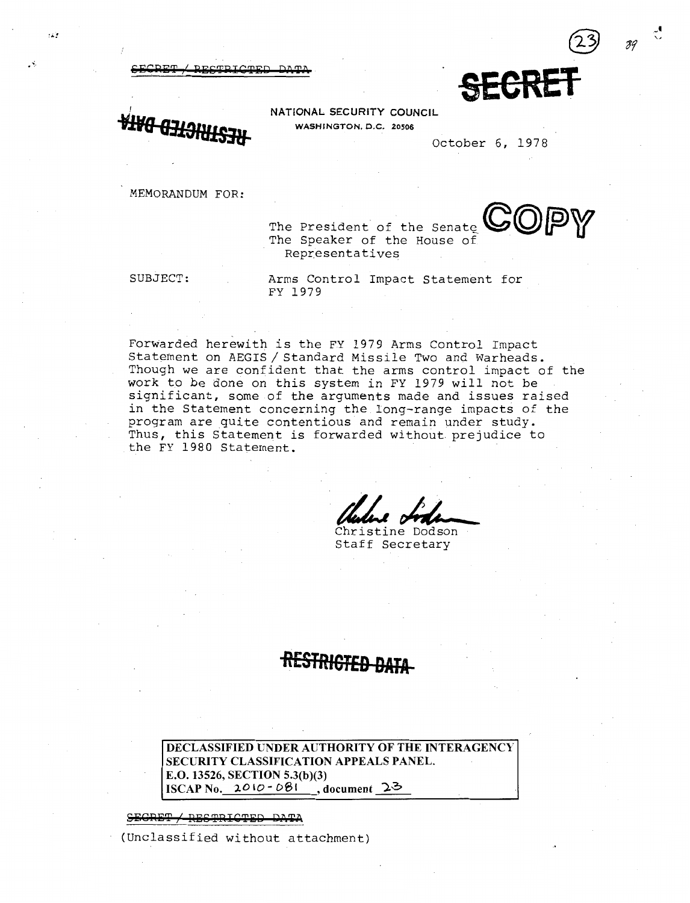DECTBICTED



ه د .

NATIONAL SECURITY COUNCIL<br>WASHINGTON, D.C. 20506 ~VB **WASHINGTON, D.C.** <sup>20506</sup> **63l9ilHS38** October 6, 1978

MEMORANDUM FOR:

The President of the The President of the Senate<br>The Speaker of the House of **©@fP>W** Representatives

SUBJECT: Arms Control Impact Statement for FY 1979

Forwarded herewith is the FY 1979 Arms Control Impact Statement on AEGIS / Standard Missile Two and Warheads. Though we are confident that the arms control impact of the work to be done on this system in FY 1979 will not be significant, some of the arguments made and issues raised in the Statement concerning the long-range impacts of the program are quite contentious and remain under study. Thus, this Statement is forwarded without prejudice to the FY 1980 Statement.

Charles of the

Christine Dodson Staff Secretary

# **-RESTRIGT£9 DMA-**

**DECLASSIFIED UNDER AUTHORITY OF THE INTERAGENCY SECURITY CLASSIFICATION APPEALS PANEL. E.O. 13526, SECTION 5.3(b)(3) ISCAP No.** *20* IO- **D61 , document** *')..0* 

SEGRET / RESTRICTED DATA

(Unclassified without attachment)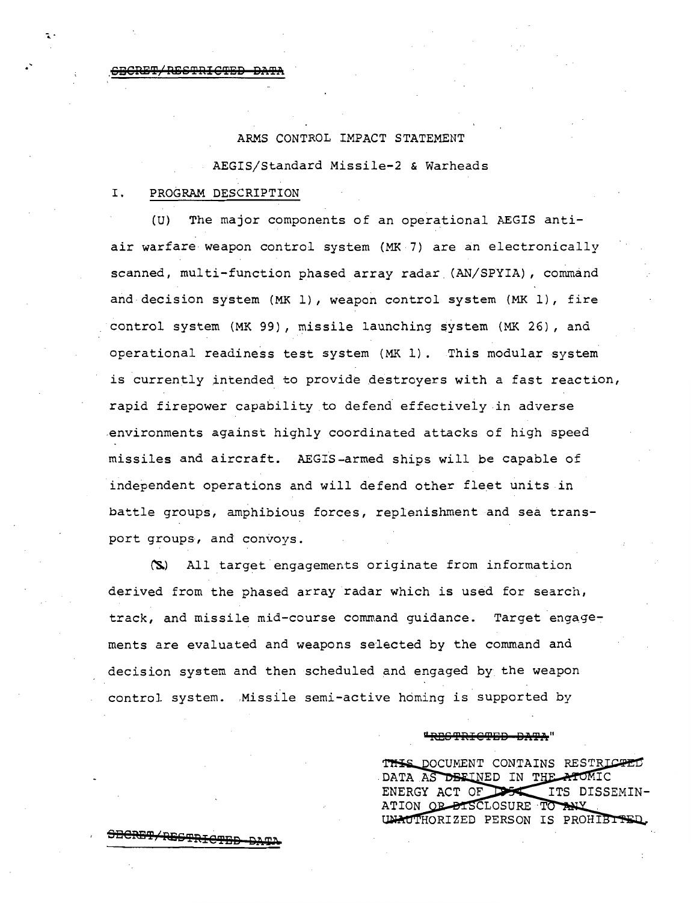## ARMS CONTROL IMPACT STATEMENT

AEGIS/Standard Missile-2 & Warheads

## I. PROGRAM DESCRIPTION

**5DCRB'i'/RSO'i'RIC'f13B** QA~

.

(U) The major components of an operational AEGIS antiair warfare weapon control system (MK 7) are an electronically scanned, multi-function phased array radar (AN/SPYIA), command and decision system (MK 1), weapon control system (MK 1), fire control system (MK 99), missile launching system (MK 26), and operational readiness test system (MK 1). This modular system is currently intended to provide destroyers with a fast reaction, rapid firepower capability to defend effectively in adverse .environments against highly coordinated attacks of high speed missiles and aircraft. AEGIS-armed ships will be capable of independent operations and will defend other fleet units in battle groups, amphibious forces, replenishment and sea transport groups, and convoys.

~) All target engagements originate from information derived from the phased array radar which is used for search, track, and missile mid-course command guidance. Target engagements are evaluated and weapons selected by the command and decision system and then scheduled and engaged by the weapon control system. Missile semi-active homing is supported by

## "RRGTRICTED-DATA"

THIS DOCUMENT CONTAINS RESTRICTED DATA AS DEFINED IN THE ATOMIC ENERGY ACT OF DESC ITS DISSEMIN-ATION OF BISCLOSURE TO ANY UNAUTHORIZED PERSON IS PROHIBITED.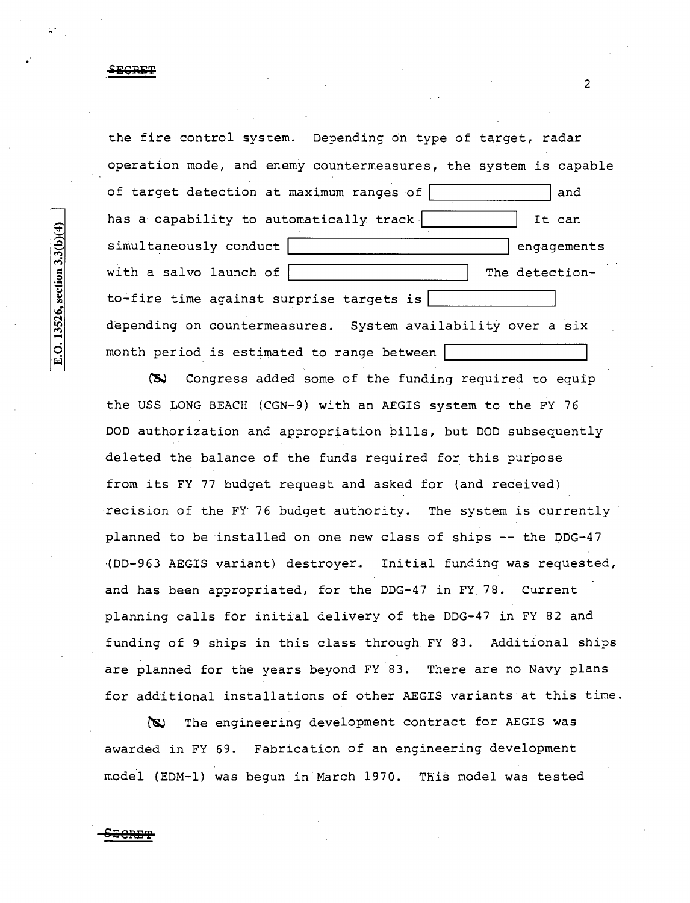the fire control system. Depending on type of target, radar operation mode, and enemy countermeasures, the system is capable of target detection at maximum ranges of  $\begin{bmatrix} 1 & 1 & 1 \\ 0 & 1 & 1 \\ 0 & 0 & 0 \end{bmatrix}$  and has a capability to automatically track  $|$  It can simultaneously conduct engagements with a salvo launch of  $\vert$  The detectionto~fire time against surprise targets is *\l:S* ~--------------~ depending on countermeasures. System availability over a six month period is estimated to range between |

~ Congress added some of the funding required to equip the USS LONG BEACH (CGN-9) with an AEGIS system to the FY 76 DOD authorization and appropriation bills, .but DOD subsequently deleted the balance of the funds required for this purpose from its FY 77 budget request and asked for (and received) recision of the FY 76 budget authority. The system is currently planned to be installed on one new class of ships -- the DDG-47 (DD-963 AEGIS variant) destroyer. Initial funding was requested, and has been appropriated, for the DDG-47 in FY 78. Current planning calls for initial delivery of the DDG-47 in FY 82 and funding of 9 ships in this class through FY 83. Additional ships are planned for the years beyond FY 83. There are no Navy plans for additional installations of other AEGIS variants at this time.

~ The engineering development contract for AEGIS was awarded in FY 69. Fabrication of an engineering development model (EDM-1) was begun in March 1970. This model was tested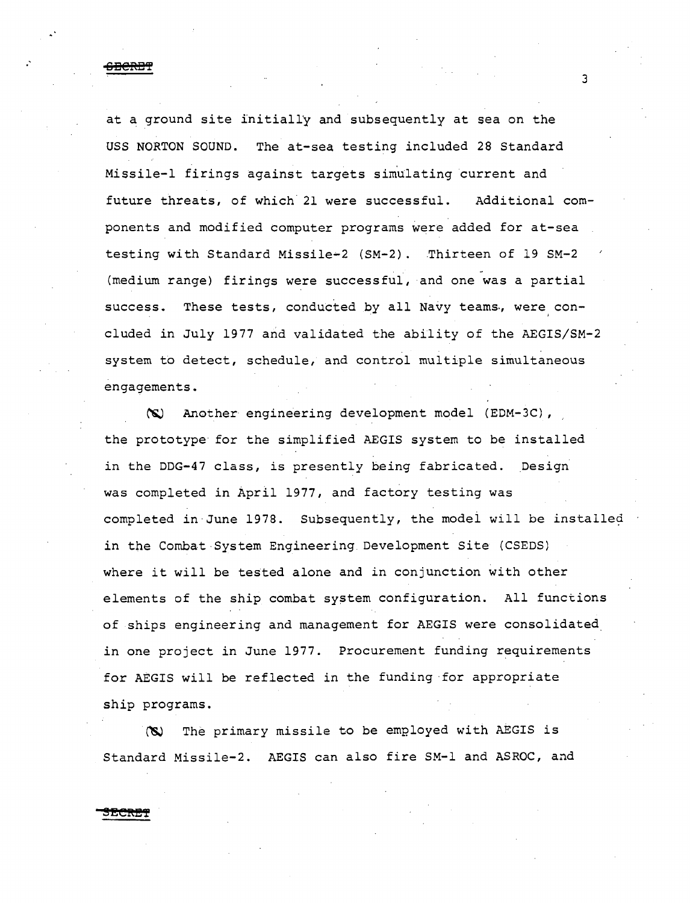,' **ODCRD!** 

at a ground site initially and subsequently at sea on the USS NORTON SOUND. The at-sea testing included 28 Standard Missile-1 firings against targets simulating current and future threats, of which 21 were successful. Additional components and modified computer programs were added for at-sea testing with Standard Missile•2 (SM-2). Thirteen of 19 SM-2 (medium range) firings were successful, and one was a partial success. These tests, conducted by all Navy teams, were concluded in July 1977 and validated the ability of the AEGIS/SM-2 system to detect, schedule, and control multiple simultaneous engagements.

3

~ Another engineering development model (EDM-3C) , the prototype for the simplified AEGIS system to be installed in the DDG-47 class, is presently being fabricated. Design was completed in April 1977, and factory testing was completed in·June 1978. Subsequently, the modei will be installed in the Combat·System Engineering Development Site (CSEDS) where it will be tested alone and in conjunction with other elements of the ship combat system configuration. All functions of ships engineering and management for AEGIS were consolidated in one project in June 1977. Procurement funding requirements for AEGIS will be reflected in the funding ·for appropriate ship programs.

~ The primary missile to be emP.loyed with AEGIS *is*  Standard Missile-2. AEGIS can also fire SM-1 and ASROC, and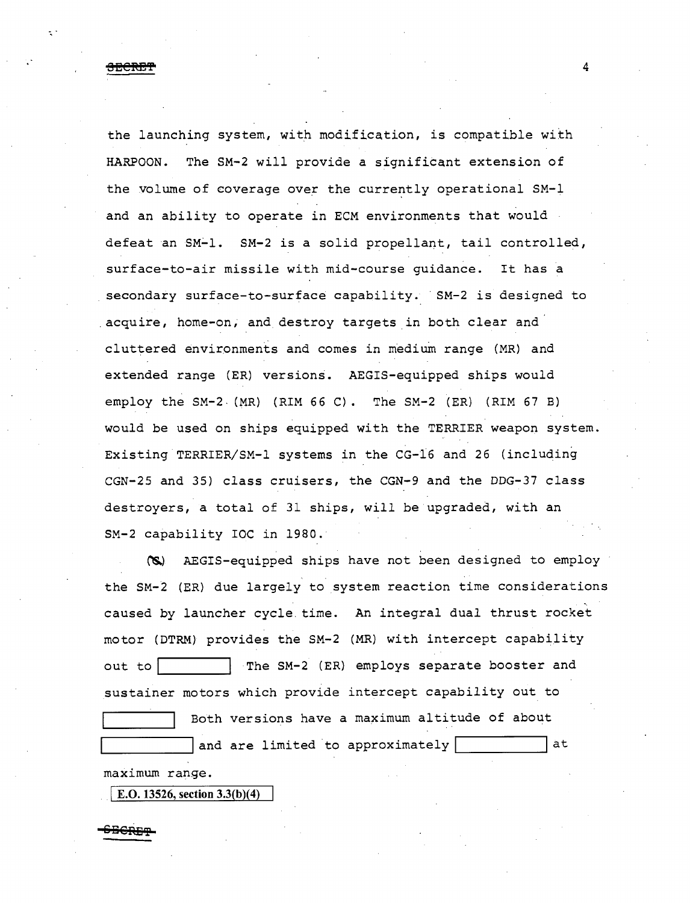**SECRET** 4

the launching system, with modification, is compatible with HARPOON. The SM-2 will provide a significant extension of the volume of coverage over the currently operational SM-1 and an ability to operate in ECM environments that would defeat an SM-1. SM-2 is a solid propellant, tail controlled, surface-to-air missile with mid-course guidance. It has a secondary surface-to-surface capability. SM-2 is designed to acquire, home-on, and destroy targets in both clear and cluttered environments and comes in medium range (MR) and extended range (ER) versions. AEGIS-equipped ships would employ the SM-2- (MR) (RIM 66 C). The SM-2 (ER) (RIM 67 B) would be used on ships equipped with the TERRIER weapon system. Existing TERRIER/SM-1 systems in the CG-16 and 26 (including CGN-25 and 35) class cruisers, the CGN-9 and the DDG-37 class destroyers, a total of 31 ships, will be upgraded, with an SM-2 capability roc in 1980.

(S) AEGIS-equipped ships have not been designed to employ the SM-2 (ER) due largely to system reaction time considerations caused by launcher cycle time. An integral dual thrust rocket motor (DTRM) provides the SM-2 (MR) with intercept capability out to | The SM-2 (ER) employs separate booster and sustainer motors which provide intercept capability out to Both versions have a maximum altitude of about and are limited to approximately  $|$  at

maximum range.

E.O. 13526, section  $3.3(b)(4)$ 

Berr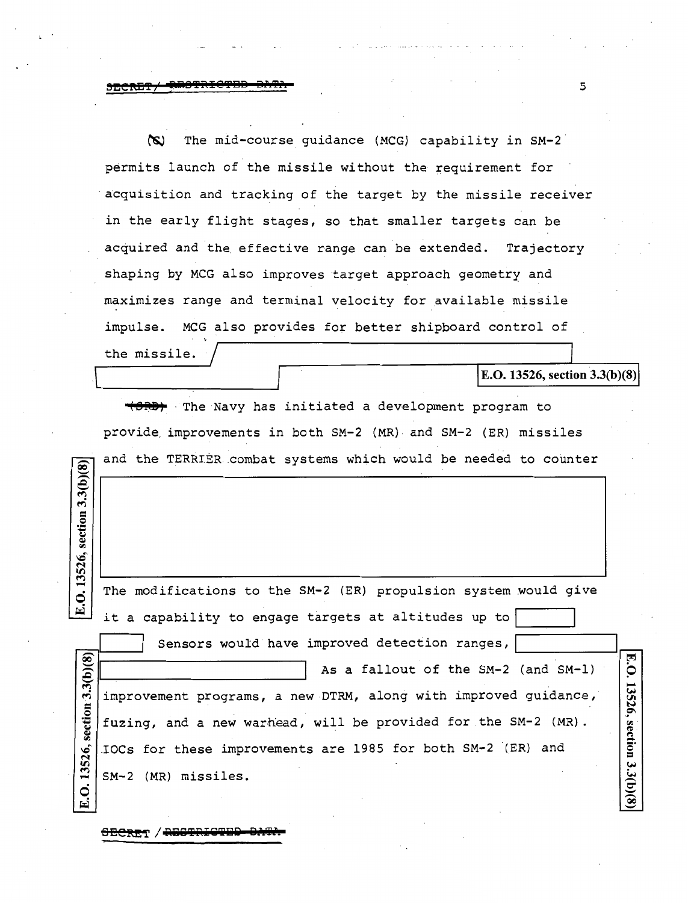~ The mid-course guidance (MCG) capability in SM-2 permits launch of the *missile* without the requirement for ·acquisition and tracking of the target by the *missile* receiver in the early flight stages, so that smaller targets can be acquired and the effective range can be extended. Trajectory shaping by MCG also improves target approach geometry and maximizes range and terminal velocity for available missile impulse. MCG also provides for better shipboard control of the *missile.* 

E.O. 13526, section 3.3(b)(8)

**(8M)** · The Navy has initiated a development program to provide improvements in both SM-2 (MR) and SM-2 (ER) missiles and the TERRIER.combat systems which would be needed to counter

| 13526,              |                                                                 |           |
|---------------------|-----------------------------------------------------------------|-----------|
| .<br>?              | The modifications to the SM-2 (ER) propulsion system would give |           |
| E                   | it a capability to engage targets at altitudes up to            |           |
|                     | Sensors would have improved detection ranges,                   |           |
| section $3.3(b)(8)$ | As a fallout of the SM-2 (and SM-1)                             | E.O.      |
|                     | improvement programs, a new DTRM, along with improved guidance, | 13526,    |
|                     | fuzing, and a new warhead, will be provided for the SM-2 (MR).  |           |
|                     | IOCs for these improvements are 1985 for both SM-2 (ER) and     | section   |
| 13526,              | SM-2 (MR) missiles.                                             | 3.3(b)(8) |
| E.O                 |                                                                 |           |

 $\theta$ ECRET / RESTRIGTED DATA

section  $3.3(b)(8)$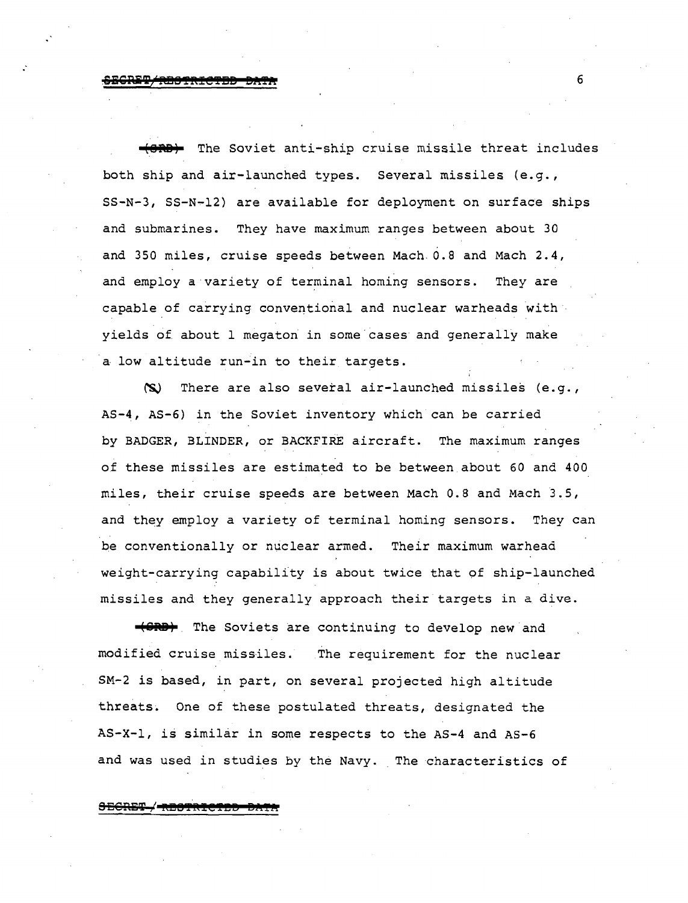**(8ft8)** The Soviet anti-ship cruise missile threat includes both ship and air-launched types. Several missiles (e.g., SS-N-3, SS-N-12) are available for deployment on surface ships and submarines. They have maximum ranges between about 30 and 350 miles, cruise speeds between Mach. 0.8 and Mach 2.4, and employ a variety of terminal homing sensors. They are capable of carrying conventional and nuclear warheads with· yields of about 1 megaton in some cases and generally make a low altitude run-in to their targets.

 $\infty$  There are also several air-launched missiles (e.g., AS-4, AS-6) *in* the Soviet inventory which can be carried by BADGER, BLINDER, or BACKFIRE aircraft. The maximum ranges of these missiles are estimated to be between about 60 and 400 miles, their cruise speeds are between Mach 0.8 and Mach 3.5, and they employ a variety of terminal homing sensors. They can pe conventionally or nuclear armed. Their maximum warhead weight-carrying capability *is* about twice that of ship-launched missiles and they generally approach their targets in a dive.

**(GRB)** The Soviets are continuing to develop new and modified cruise missiles. The requirement for the nuclear SM-2 is based, in part, on several projected high altitude threats. One of these postulated threats, designated the AS-X-1, is similar in some respects to the AS-4 and AS-6 and was used in studies by the Navy. The characteristics of

**SEGRS'i' I !'t!l!':PR!@T!!!IJ eanr**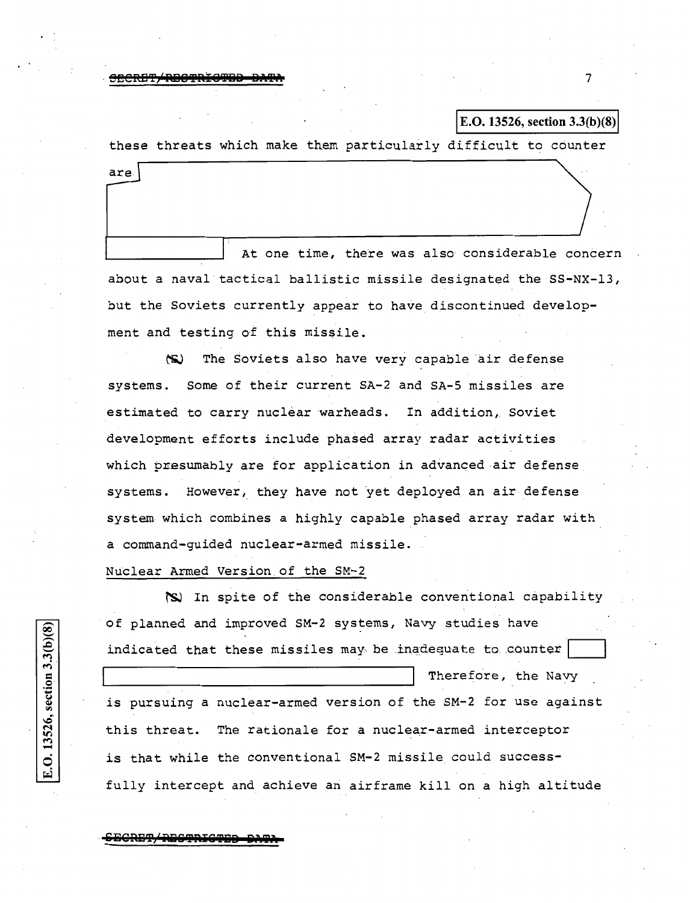$\frac{1}{3}$  secret  $\frac{1}{3}$  and  $\frac{1}{3}$  and  $\frac{1}{3}$  and  $\frac{1}{3}$  and  $\frac{1}{3}$  and  $\frac{1}{3}$  and  $\frac{1}{3}$  and  $\frac{1}{3}$  and  $\frac{1}{3}$  and  $\frac{1}{3}$  and  $\frac{1}{3}$  and  $\frac{1}{3}$  and  $\frac{1}{3}$  and  $\frac{1}{3}$  and  $\frac{1}{3}$ 

are.

## E.O. 13526, section 3.3(b)(8)

these threats which make them particularly difficult to counter

At one time, there was also considerable concern about a naval tactical ballistic missile designated the SS-NX-13, but the Soviets currently appear to have discontinued development and testing of this missile.

~ The Soviets also have very capable *air* defense systems. some of their current SA-2 and SA-5 missiles are estimated to carry nuclear warheads. In addition, Soviet development efforts include phased array radar activities which presumably are for application in advanced air defense systems. However, they have not yet deployed an air defense system which combines a highly capable phased array radar with a command-guided nuclear-armed missile.

## Nuclear Armed Version.of the SM-2

~ In spite of the considerable conventional capability of planned and improved SM-2 systems, Navy studies have indicated that these missiles may be inadequate to counter  $|$ Therefore, the Navy *is* pursuing a nuclear-armed version of the SM-2 for use against this threat. The rationale for a nuclear-armed interceptor *is* that while the conventional SM-2 missile could success fully intercept and achieve an airframe kill on a high altitude

ECRET<del>, RECTRICTE</del>

~

 $\overline{c}$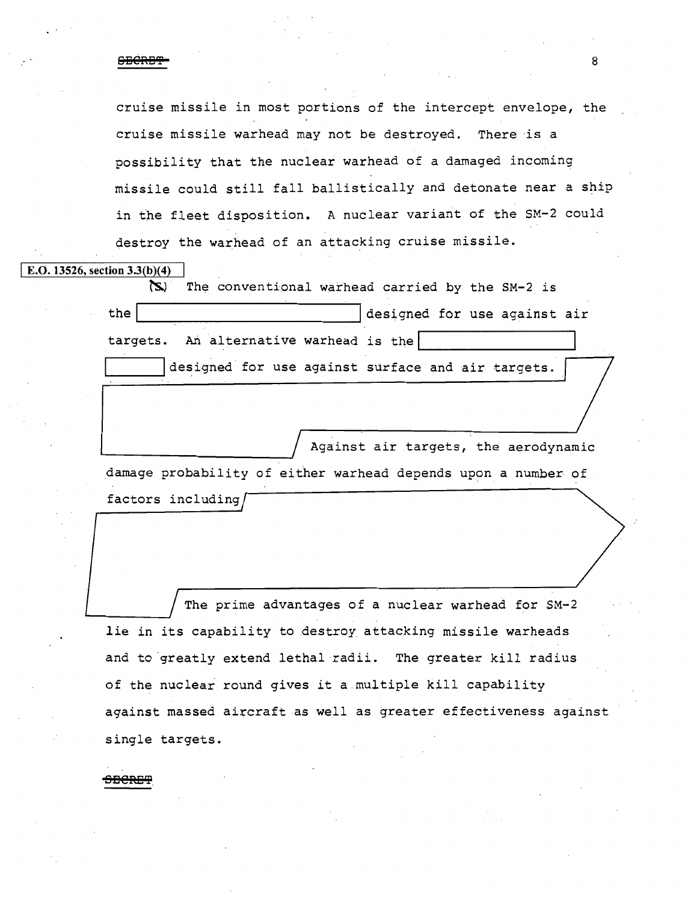cruise missile in most portions of the intercept envelope, the cruise missile warhead may not be destroyed. There is a possibility that the nuclear warhead of a damaged incoming missile could still fall ballistically and detonate near a ship in the fleet disposition. A nuclear variant of the SM-2 could destroy the warhead of an attacking cruise missile.

## E.O. 13526, section  $3.3(b)(4)$

(S) The conventional warhead carried by the SM-2 is the designed for use against air  $targets.$  An alternative warhead is the designed for use against surface and air targets.

Against air targets, the aerodynamic damage probability of either warhead depends upon a number of factors including

The prime advantages of a nuclear warhead for SM-2 lie in its capability to destroy attacking missile warheads and to 'greatly extend lethal radii. The greater kill radius of the nuclear round gives it a.multiple kill capability against massed aircraft as well as greater effectiveness against single targets.

**s Bereg**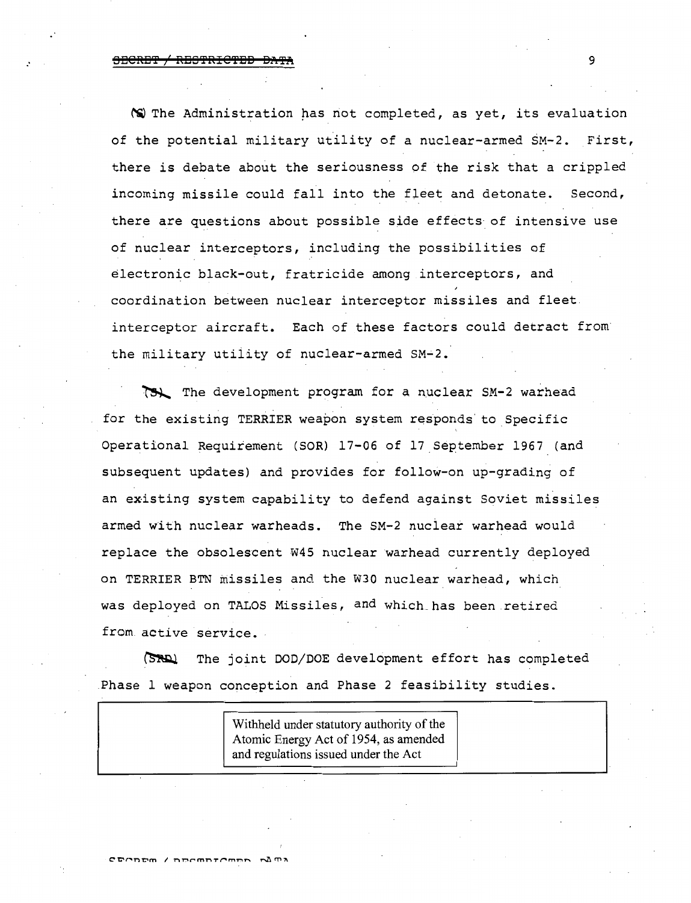# *:* SI3CREi'3? */* RBS'3?RIC'3?EiB B.'t'3?iRi 9

~The Administration has riot completed, as yet, its evaluation of the potential military utility of a nuclear-armed SM-2. First, there is debate about the seriousness of the risk that a crippled incoming missile could fall into the fleet and detonate. Second, there are questions about possible side effects of intensive use of nuclear interceptors, including the possibilities of electronic black-out, fratricide among interceptors, and coordination between nuclear interceptor missiles and fleet interceptor aircraft. Each of these factors could detract from the military utility of nuclear-armed SM-2.

The development program for a nuclear SM-2 warhead for the existing TERRIER weapon system responds to Specific Operational Requirement (SOR) 17-06 of 17.September 1967 (and subsequent updates) and provides for follow-on up-grading of an existing system capability to defend against Soviet missiles armed with nuclear warheads. The SM-2 nuclear warhead would replace the obsolescent W45 nuclear warhead currently deployed on TERRIER BTN missiles and the W30 nuclear warhead, which was deployed on TALOS Missiles, and which has been retired from active service.

(SRR) The joint DOD/DOE development effort has completed Phase 1 weapon conception and Phase 2 feasibility studies.

> Withheld under statutory authority of the Atomic Energy Act of 1954, as amended and regulations issued under the Act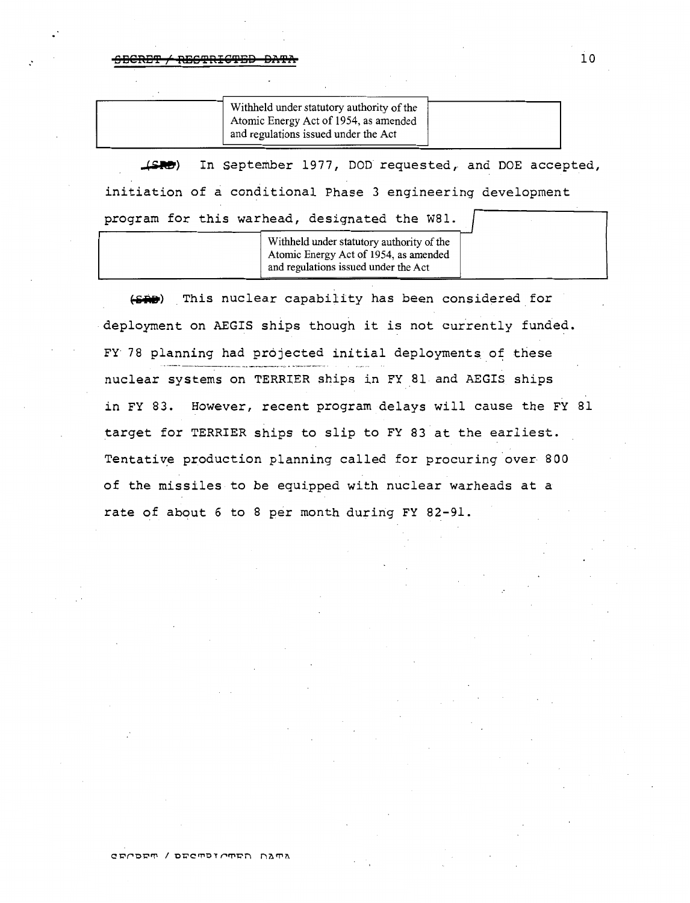**OBGRET / REGTRIGTED DATA** 

| and regulations issued under the Act |
|--------------------------------------|
|--------------------------------------|

 $LSPD$ In september 1977, DOD requested, and DOE accepted, initiation of a conditional Phase 3 engineering development program for this warhead, designated the W81.

> Withheld under statutory authority of the Atomic Energy Act of 1954, as amended and regulations issued under the Act

(SAD) This nuclear capability has been considered for deployment on AEGIS ships though it is not currently funded. FY 78 planning had projected initial deployments of these nuclear systems on TERRIER ships in FY 81 and AEGIS ships *in* FY 83. However, recent program delays will cause the FY 81 target for TERRIER ships to slip to FY 83 at the earliest. Tentative production planning called for procuring over 800 of the missiles to be equipped with nuclear warheads at a rate of about 6 to 8 per month during FY 82-91.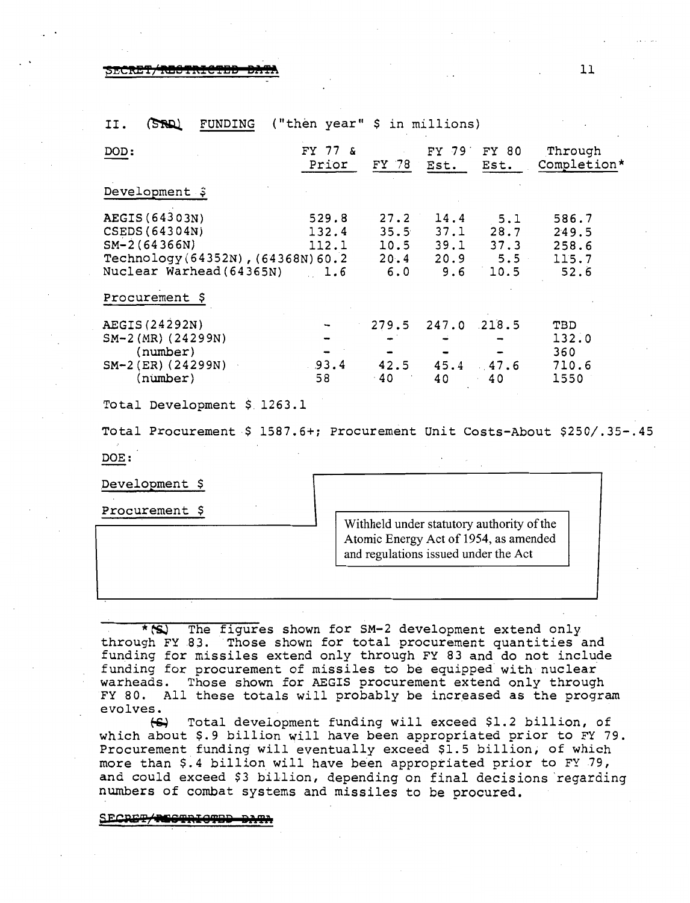~EC!t'E'f;'M!!'PR!@T!JS **Sli'If•** 11

| DOD:                                                                                                                                   | FY 77 &<br>Prior               | $FY$ 78                     | Est.                      | FY 79 FY 80<br>Est.                                           | Through<br>Completion*                   |  |  |  |  |
|----------------------------------------------------------------------------------------------------------------------------------------|--------------------------------|-----------------------------|---------------------------|---------------------------------------------------------------|------------------------------------------|--|--|--|--|
| Development \$                                                                                                                         |                                |                             |                           |                                                               |                                          |  |  |  |  |
| AEGIS (64303N)<br>CSEDS (64304N)<br>$SM-2(64366N)$<br>Technology (64352N), (64368N) 60.2<br>Nuclear Warhead (64365N)<br>Procurement \$ | 529.8<br>132.4<br>112.1<br>1.6 | 27.2<br>35.5<br>20.4<br>6.0 | 14.4<br>37.1              | 5.1<br>28.7<br>$10.5$ 39.1 37.3<br>$20.9$ 5.5<br>$9.6 \t10.5$ | 586.7<br>249.5<br>258.6<br>115.7<br>52.6 |  |  |  |  |
| AEGIS (24292N)<br>$SM-2(MR)$ (24299N)<br>(number)<br>$SM-2$ (ER) (24299N)<br>$(n \times b)$                                            | 93.4<br>58                     | 279.5<br>42.5<br>$-40$      | 247.0 218.5<br>45.4<br>40 | .47.6<br>40                                                   | TBD<br>132.0<br>360<br>710.6<br>1550     |  |  |  |  |
| Total Development \$ 1263.1                                                                                                            |                                |                             |                           |                                                               |                                          |  |  |  |  |

 $(SR)$ FUNDING ("then year" \$ in millions)  $II.$ 

Total Procurement \$ 1587.6+; Procurement Unit Costs-About \$250/.35-.45

DOE:

Development \$

Procurement \$

Withheld under statutory authority of the Atomic Energy Act of 1954, as amended and regulations issued under the Act

\*<sup>(S)</sup> The figures shown for SM-2 development extend only through FY 83. Those shown for total procurement quantities and funding for missiles extend only through FY 83 and do not include funding for procurement of missiles to be equipped with nuclear warheads. Those shown for AEGIS procurement extend only through FY 80. All these totals will probably be increased as the program evolves. evolves.

~ Total development funding will exceed \$1.2 billion, of which about \$.9 billion will have been appropriated prior to FY 79. Procurement funding will eventually exceed \$1.5 billion, of which more than \$.4 billion will have been appropriated prior to FY 79, and could exceed \$3 billion, depending on final decisions 'regarding **numbers** of combat systems and missiles to be procured.

SECRET/RESTRICTED DA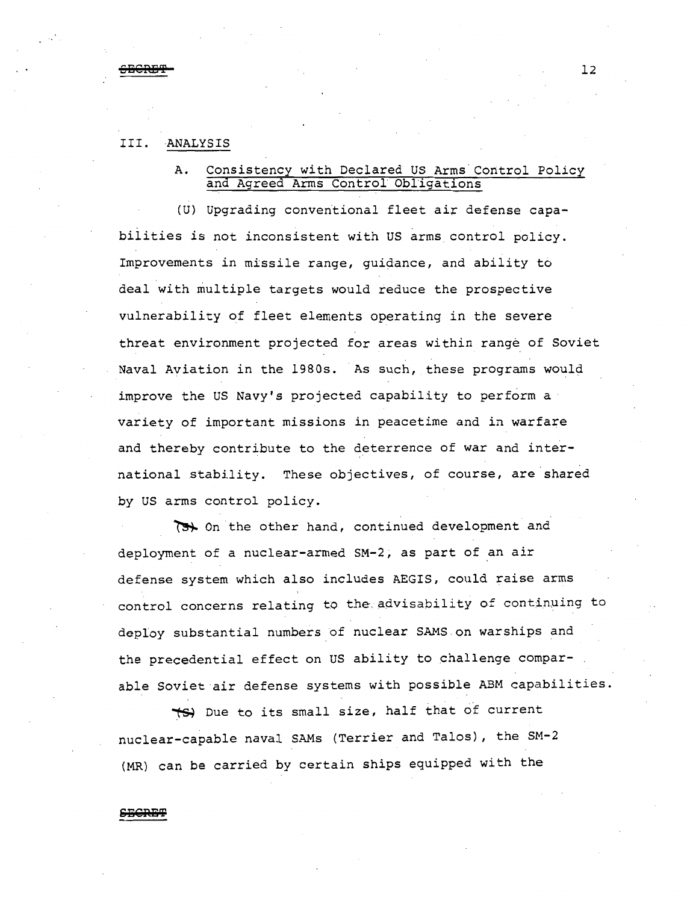## III. ANALYSIS

# A. Consistency with Declared US Arms Control Policy and Agreed Arms Control Obligations

(U) Upgrading converitional fleet air defense capabilities *is* not inconsistent with US arms control policy. Improvements in missile range, guidance, and ability to deal with multiple targets would reduce the prospective vulnerability of fleet elements operating in the severe threat environment projected for areas within range of Soviet Naval Aviation in the 1980s. As such, these programs would improve the us Navy's projected capability to perform a variety of important missions in peacetime and in warfare and thereby contribute to the deterrence of war and international stability. These objectives, of course, are shared by US arms control policy.

On the other hand, continued development and deployment of a nuclear-armed SM-2, as part of an air defense system which also includes AEGIS, could raise arms control concerns relating to the advisability of continuing to deploy substantial numbers of nuclear SAMS.on warships and the precedential effect on US ability to challenge comparable Soviet air defense systems with possible ABM capabilities.

 $\star$ S) Due to its small size, half that of current nuclear-capable naval SAMs (Terrier and Talos), the SM-2 (MR) can be carried by certain ships equipped with the

## **SBGRB'!?**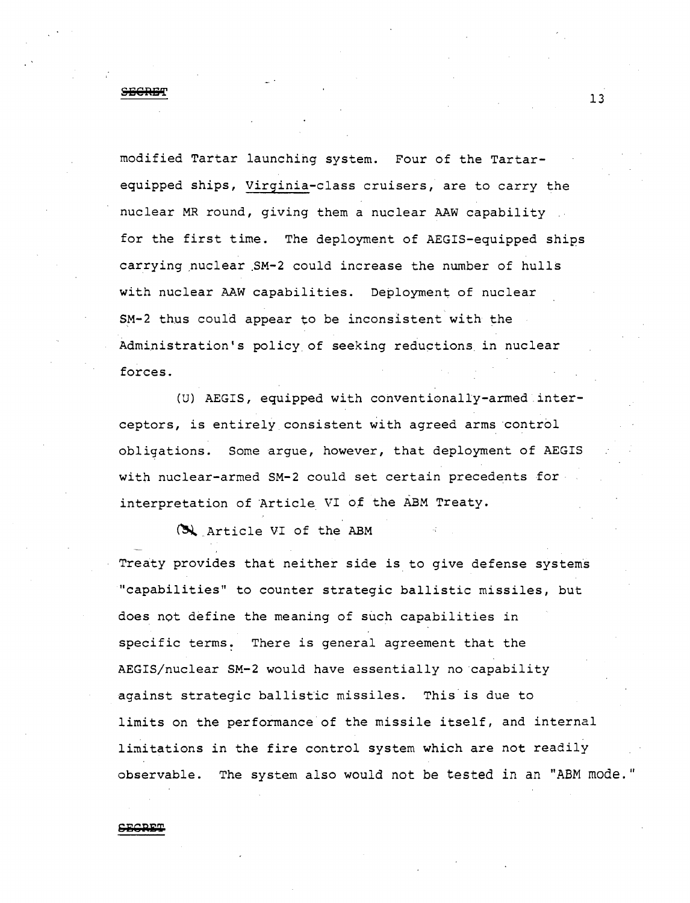# **SECRET** 13

modified Tartar launching system. Four of the Tartarequipped ships, Virginia-class cruisers, are to carry the nuclear MR round, giving them a nuclear AAW capability for the first time. The deployment of AEGIS-equipped ships carrying nuclear SM-2 could increase the number of hulls with nuclear AAW capabilities. Deployment of nuclear SM-2 thus could appear to be inconsistent with the Administration's policy of seeking reductions. *in* nuclear forces.

(U) AEGIS, equipped with conventionally-armed interceptors, is entirely consistent with agreed arms control obligations. Some argue, however, that deployment of AEGIS with nuclear-armed SM-2 could set certain precedents for interpretation of Article VI of the ABM Treaty.

 $\left(\frac{1}{2}\right)$  Article VI of the ABM

Treaty provides that neither side is to give defense systems "capabilities" to counter strategic ballistic missiles, but does not define the meaning of such capabilities in specific terms. There *is* general agreement that the AEGIS/nuclear SM-2 would have essentially no capability against strategic ballistic missiles. This is due to limits on the performance of the missile itself, and internal limitations *in* the fire control system which are not readily observable. The system also would not be tested in an "ABM mode."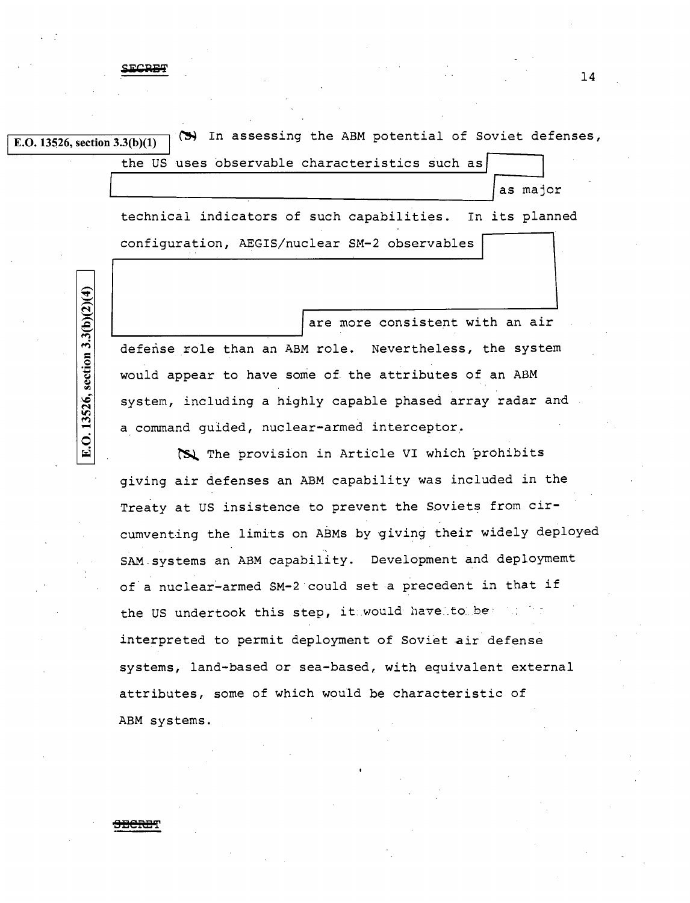$E.D. 13526$ , section  $3.3(b)(1)$  (S) In assessing the ABM potential of Soviet defenses, I

the US uses observable characteristics such as

as major

technical indicators of such capabilities. In its planned configuration, AEGIS/nuclear SM-2 observables

are more consistent with an air ~------------------------~ defense role than an ABM role. Nevertheless, the system would appear to have some of the attributes of an ABM system, including a highly capable phased array radar and a command guided, nuclear-armed interceptor.

**the provision in Article VI which prohibits** giving air defenses an ABM capability was included in the Treaty at US insistence to prevent the Soviets from circumventing the limits on ABMs by giving their widely deployed ., SAM-systems an ABM capability. Development and deploymemt of a nuclear-armed SM-2 could set a precedent in that if the US undertook this step, it would have to be interpreted to permit deployment of Soviet air defense systems, land-based or sea-based, with equivalent external attributes, some of which would be characteristic of ABM systems.

# E.O. 13526, section 3.3(b)(2)(4)

<del>SECRE</del>T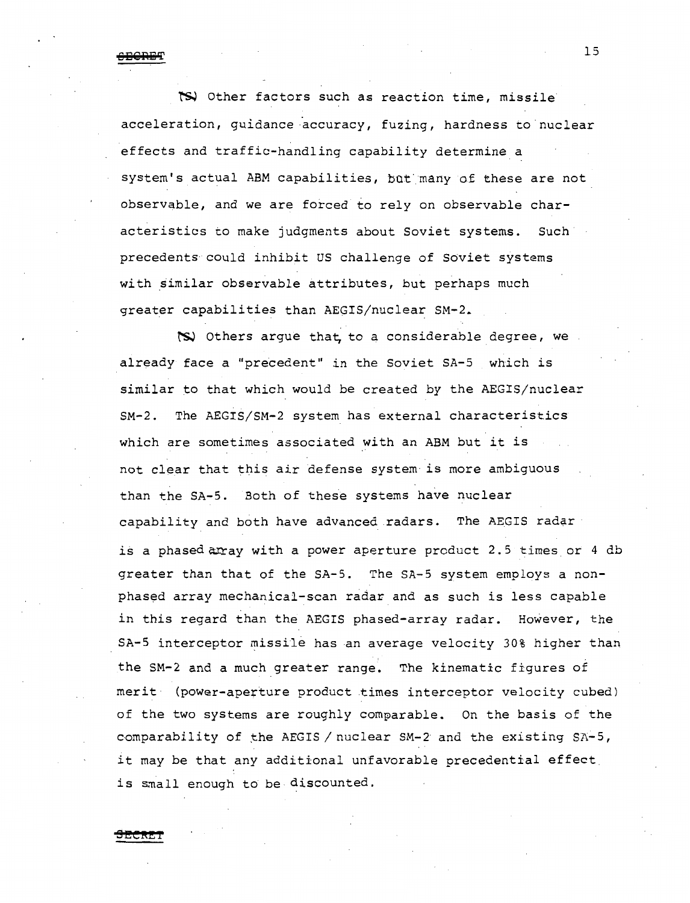15 **DBE!'RB'i'** 

~ Other factors such as reaction time, missile acceleration, guidance accuracy, fuzing, hardness to nuclear effects and traffic-handling capability determine a system's actual ABM capabilities, but many of these are not observable, and we are forced to rely on observable characteristics to make judgments about Soviet systems. Such precedents could inhibit US challenge of Soviet systems with similar observable attributes, but perhaps much greater capabilities than AEGIS/nuclear SM-2.

~ Others argue tha~ to a considerable degree, we already face a "precedent" *in* the Soviet SA-5 which is similar to that which would be created by the AEGIS/nuclear SM-2. The AEGIS/SM-2 system has external characteristics which are sometimes associated with an ABM but it is not clear that this air defense system· *is* more ambiguous than the SA-5. Both of these systems have nuclear capability and both have advanced radars. The AEGIS radar is a phased array with a power aperture product 2.5 times or 4 db greater than that of the SA-5. The SA-5 system employs a nonphased array mechanical-scan radar and as such is less capable in this regard than the AEGIS phased-array radar. However, the SA-5 interceptor missile has an average velocity 30% higher than the SM-2 and a much greater range. The kinematic figures of merit (power-aperture product times interceptor velocity cubed) of the two systems are roughly comparable. On the basis of the comparability of the AEGIS / nuclear  $SM-2$  and the existing  $SA-5$ , it may be that any additional unfavorable precedential effect is small enough to be discounted.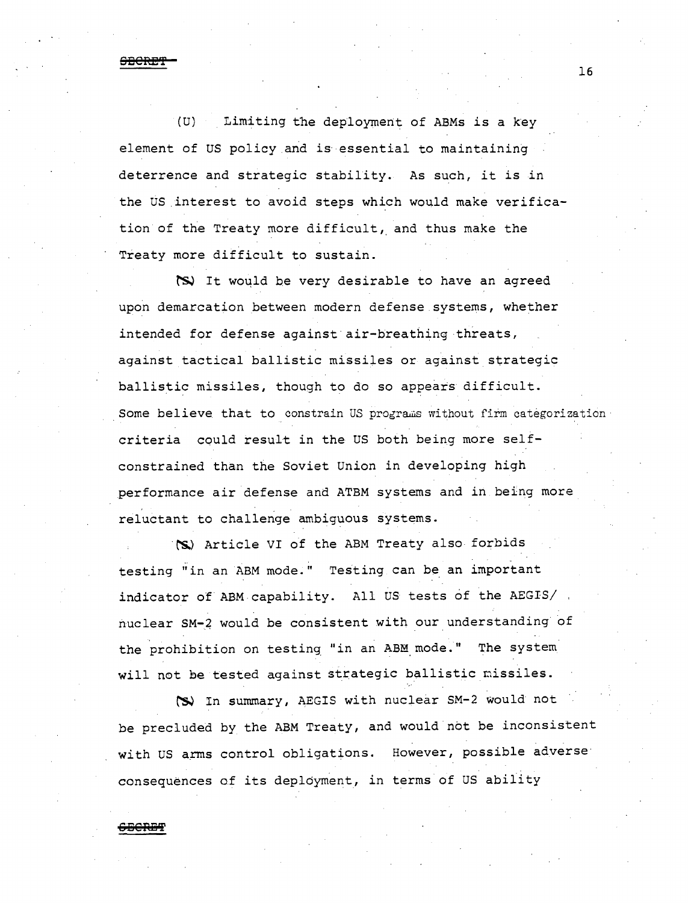**SEORfJ'f** 

(U) Limiting the deployment of ABMs is a key element of US policy and is essential to maintaining deterrence and strategic stability. As such, it is in the US interest to avoid steps which would make verification of the Treaty more difficult, and thus make the Treaty more difficult to sustain.

~ It woqld be very desirable to have an agreed upon demarcation between modern defense systems, whether intended for defense against air-breathing threats, against tactical ballistic missiles or against strategic ballistic missiles, though to do so appears difficult. Some believe that to constrain US programs without firm categorization criteria could result in the US both being more selfconstrained than the Soviet Union in developing high performance air defense and ATBM systems and in being more reluctant to challenge ambiguous systems.

**·rs,)** Article VI of the ABM Treaty also forbids testing "in an ABM mode." Testing can be an important indicator of ABM capability. All US tests of the AEGIS/. nuclear SM-4 would be consistent with our understanding of the prohibition on testing "in an ABM mode." The system will not be tested against strategic ballistic nissiles.

~ In summary, AEGIS with nuclear SM-2 would not be precluded by the ABM Treaty, and would not be inconsistent with us arms control obligations. However, possible adverse consequences of its deployment, in terms of US ability

**6:8S'R!!l'i'**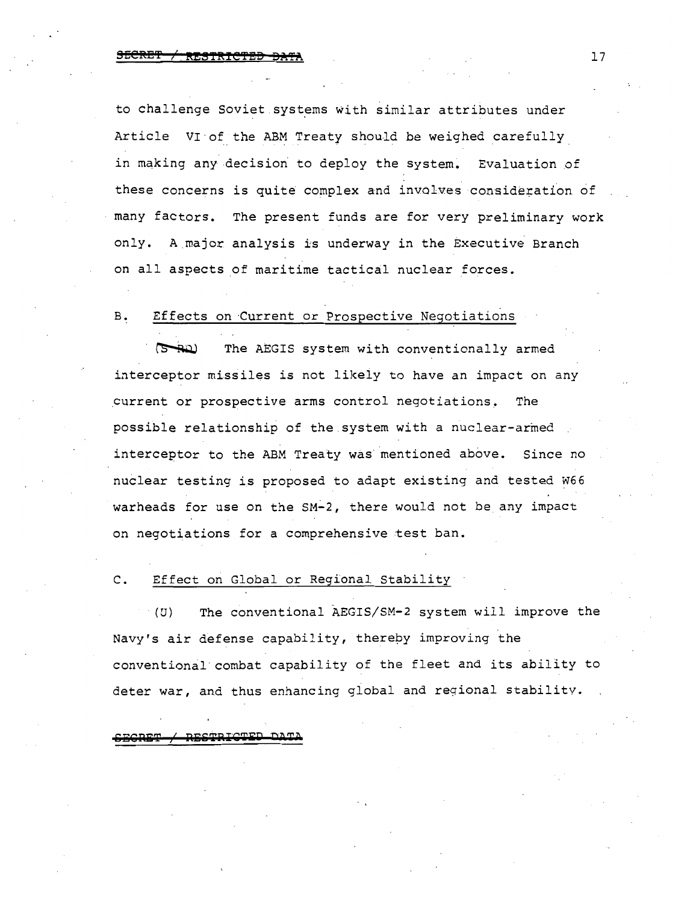to challenge Soviet systems with similar attributes under Article VI of the ABM Treaty should be weighed carefully in making any decision to deploy the system. Evaluation of these concerns is quite complex and involves consideration of many factors. The present funds are for very preliminary work only. A major analysis is underway in the Executive Branch on all aspects of maritime tactical nuclear forces.

# B. Effects on Current or Prospective Negotiations

The AEGIS system with conventionally armed للطلت interceptor misiiles is not likely to have an impact on any current or prospective arms control negotiations. The possible relationship of the.system with a nuclear-armed interceptor to the ABM Treaty was mentioned above. Since no nuclear testing is proposed to adapt existing and tested W66 warheads for use on the SM-2, there would not be any impact on negotiations for a comprehensive test ban.

## c. Effect on Global or Regional Stability

(U) The conventional AEGIS/SM-2 system will improve the Navy's air defense capability, thereby improving the conventional·combat capability of the fleet and its ability to deter war, and thus enhancing global and regional stability.

RESTRICTED DAT <u>aronom</u>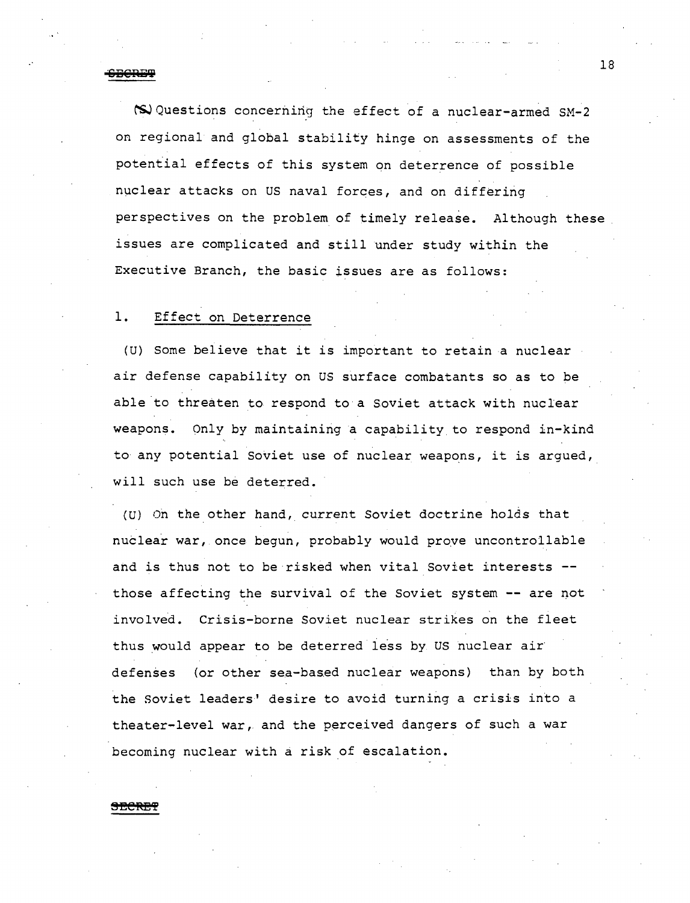<del>\*CECRET</del>

~Questions concerning the effect of a nuclear-armed SM-2 on regional and global stability hinge on assessments of the potential effects of this system on deterrence of possible nuclear attacks on us naval forces, and on differing perspectives on the problem of timely release. Although these issues are complicated and still under study within the Executive Branch, the basic issues are as follows:

## 1. Effect on Deterrence

(U) Some believe that it is important to retain a nuclear air defense capability on US surface combatants so as to be able to threaten to respond to a Soviet attack with nuclear weapons. Only by maintaining a capability to respond in-kind to any potential Soviet use of nuclear weapons, it is argued, will such use be deterred.

(U) On the other hand, current Soviet doctrine holds that nuclear war, once begun, probably would prove uncontrollable and is thus not to be risked when vital Soviet interests -those affecting the survival of the Soviet system -- are not involved. Crisis-borne Soviet nuclear strikes on the fleet thus would appear to be deterred less by US nuclear air defenses (or other sea-based nuclear weapons) than by both the Soviet leaders' desire to avoid turning a crisis into a theater-level war, and the perceived dangers of such a war becoming nuclear with a risk of escalation.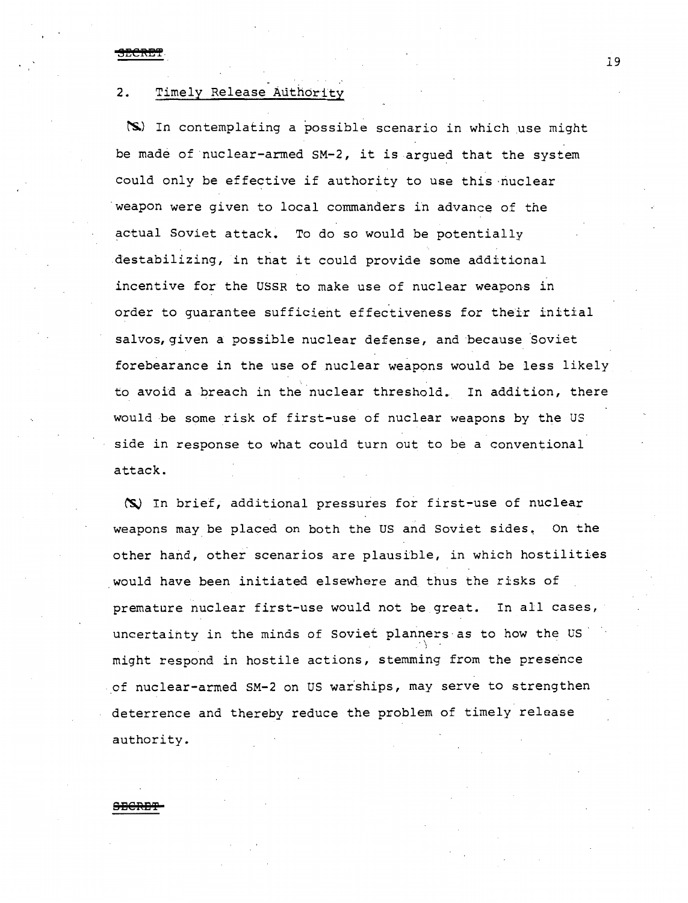SECRET

## 2. Timely Release Authority

(S) In contemplating a possible scenario in which use might be made of nuclear-armed SM-2, it is argued that the system could only be effective if authority to use this ·nuclear weapon were given to local commanders in advance of the actual Soviet attack. To do so would be potentially destabilizing, in that it could provide some additional incentive for the USSR to make use of nuclear weapons in order to guarantee sufficient effectiveness for their initial salvos, given a possible nuclear defense, and because Soviet forebearance in the use of nuclear weapons would be less likely to avoid a breach in the nuclear threshold. In addition, there would be some risk of first-use of nuclear weapons by the US side in response to what could turn out to be a conventional attack.

(S) In brief, additional pressures for first-use of nuclear weapons may be placed on both the US and Soviet sides. On the other hand, other scenarios are plausible, in which hostilities would have been initiated elsewhere and thus the risks of premature nuclear first-use would not be great. In all cases, uncertainty in the minds of Soviet planners as to how the US  $\cdot$ might respond in hostile actions, stemming from the presence of nuclear-armed SM-2 on US warships, may serve to strengthen deterrence and thereby reduce the problem of timely release authority.

## **S:BGRE'f**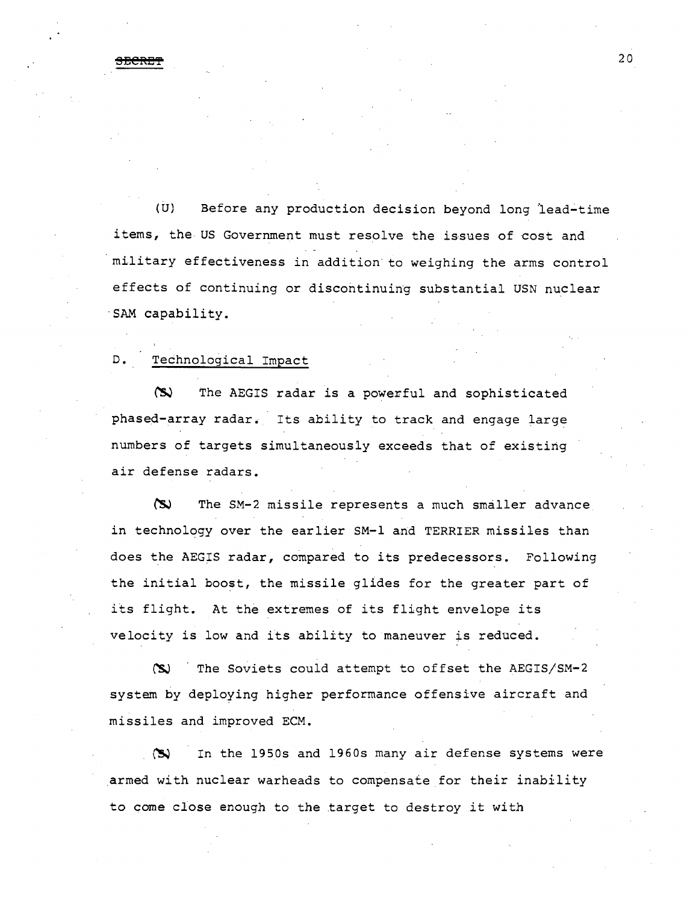<del>SECRET</del> 20

(U) Before any production decision beyond long lead-time items, the US Government must resolve the issues of cost and military effectiveness in addition to weighing the arms control effects of continuing or discontinuing substantial USN nuclear ·sAM capability.

## D. Technological Impact

(S) The AEGIS radar is a powerful and sophisticated phased-array radar. Its ability to track and engage large numbers of targets simultaneously exceeds that of existing air defense radars.

 $\infty$  The SM-2 missile represents a much smaller advance in technology over the earlier SM-1 and TERRIER missiles than does the AEGIS radar, compared to its predecessors. Following the initial boost, the missile glides for the greater part of its flight. At the extremes of its flight envelope its velocity is low and its ability to maneuver is reduced.

(S) The Soviets could attempt to offset the AEGIS/SM-2 system by deploying higher performance offensive aircraft and missiles and improved ECM.

~ In the 1950s and 1960s many air defense systems were armed with nuclear warheads to compensate for their inability to come close enough to the target to destroy .it with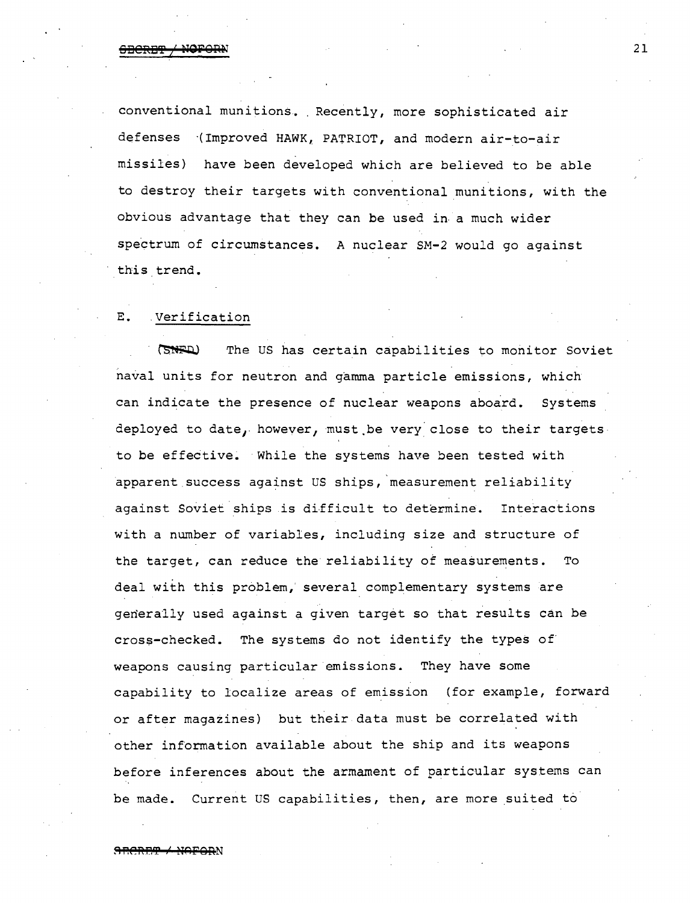**813CR2T / NOFORN** 21

conventional munitions. Recently, more sophisticated air defenses (Improved HAWK, PATRIOT, and modern air-to-air missiles) have been developed which are believed to be able to destroy their targets with conventional munitions, with the obvious advantage that they can be used in a much wider spectrum of circumstances. A nuclear SM-2 would go against this trend.

## E. Verification

GNED The US has certain capabilities to monitor Soviet naval units for neutron and gamma particle emissions, which can indicate the presence of nuclear weapons aboard. Systems deployed to date, however, must be very close to their targets. to be effective. While the systems have been tested with apparent success against US ships, measurement reliability against Soviet ships is difficult to determine. Interactions with a number of variables, including size and structure of the target, can reduce the reliability of measurements. To deal with this problem, several complementary systems are generally used against a given target so that results can be cross-checked. The systems do not identify the types of· weapons causing particular emissions. They have some capability to localize areas of emission (for example, forward or after magazines) but their data must be correlated with other information available about the ship and its weapons before inferences about the armament of particular systems can be made. Current US capabilities, then, are more suited to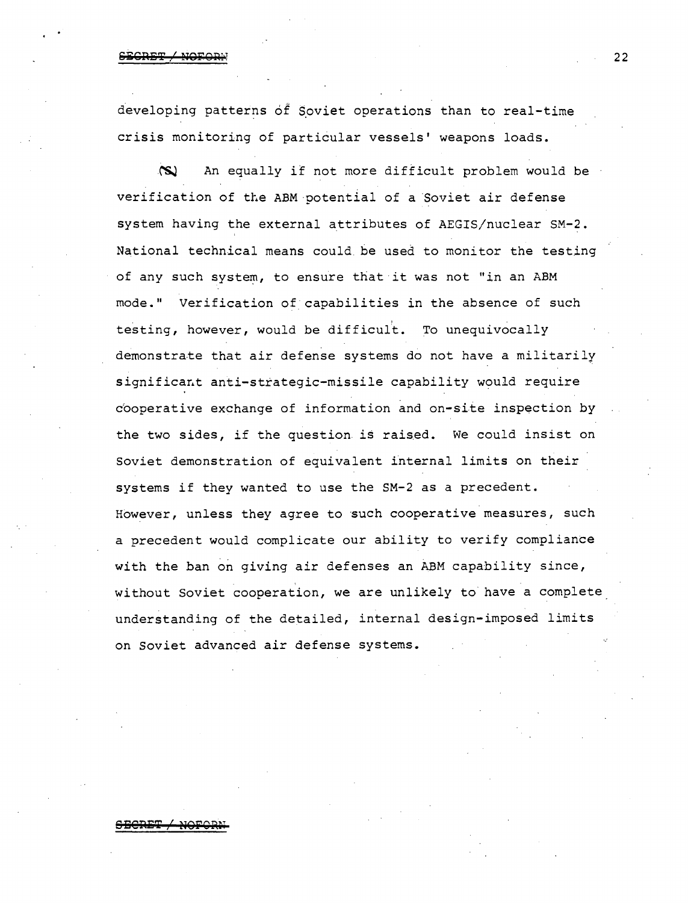## <u>PODET / MOF</u>

developing patterns of Soviet operations than to real-time crisis monitoring of particular vessels' weapons loads •

.("SJ An equally if not more difficult problem would be verification of the ABM potential of a Soviet air defense system having the external attributes of AEGIS/nuclear SM-2. National technical means could. be used to monitor the testing of any such system, to ensure that it was not "in an ABM mode." Verification of capabilities in the absence of such testing, however, would be difficult. To unequivocally demonstrate that air defense systems do not have a militarily significant anti-strategic-missile capability would require c'ooperative exchange of information and on-site inspection by the two sides, if the question is raised. We could insist on Soviet demonstration of equivalent internal limits on their systems if they wanted to use the SM-2 as a precedent. However, unless they agree to such cooperative measures, such a precedent would complicate our ability to verify compliance with the ban on giving air defenses an ABM capability since, without Soviet cooperation, we are unlikely to have a complete understanding of the detailed, internal design-imposed limits on Soviet advanced air defense systems.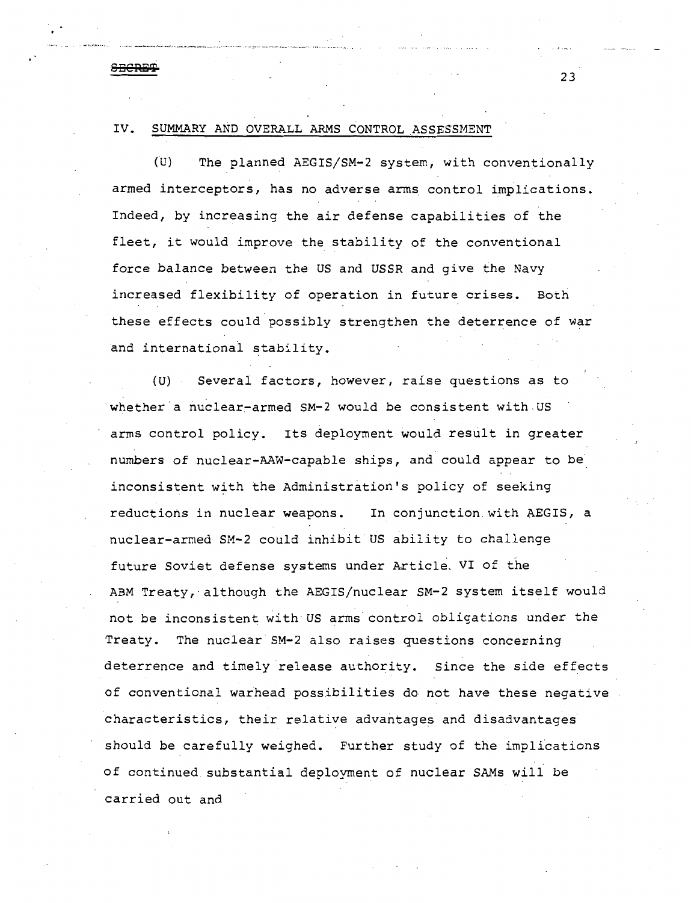## IV. SUMMARY AND OVERALL ARMS CONTROL ASSESSMENT

.. --· ---·---'~~-'-' -"--·---······· .··-··· ... -~-- .... ~- ... ·----··-···-- ... -~----·· -·~·-··· ·····---···.

**SECRE'l'** 

(U) The planned AEGIS/SM-2 system, with conventionally armed interceptors, has no adverse arms control implications. Indeed, by increasing the air defense capabilities of the fleet, it would improve the stability of the conventional force balance between the US and USSR and give the Navy increased flexibility of operation in future crises. Both these effects could possibly strengthen the deterrence of war and internationa1 stability.

(U) Several factors, however, raise questions as to whether a nuclear-armed SM-2 would be consistent with.US arms control policy. Its deployment would result in greater numbers of nuclear-AAW-capable ships, and could appear to be inconsistent with the Administration's policy of seeking reductions in nuclear weapons. In conjunction with AEGIS, a nuclear-armed SM-2 could inhibit US ability to challenge future Soviet defense systems under Article. VI of the ABM Treaty, although the AEGIS/nuclear SM-2 system itself would not be inconsistent with US arms control obligations under the Treaty. The nuclear SM-2 also raises questions concerning deterrence and timely release authority. Since the side effects of conventional warhead possibilities do not have these negative characteristics, their relative advantages and disadvantages should be carefully weighed. Further study of the implications of continued substantial deployment of nuclear SAMs will be carried out and